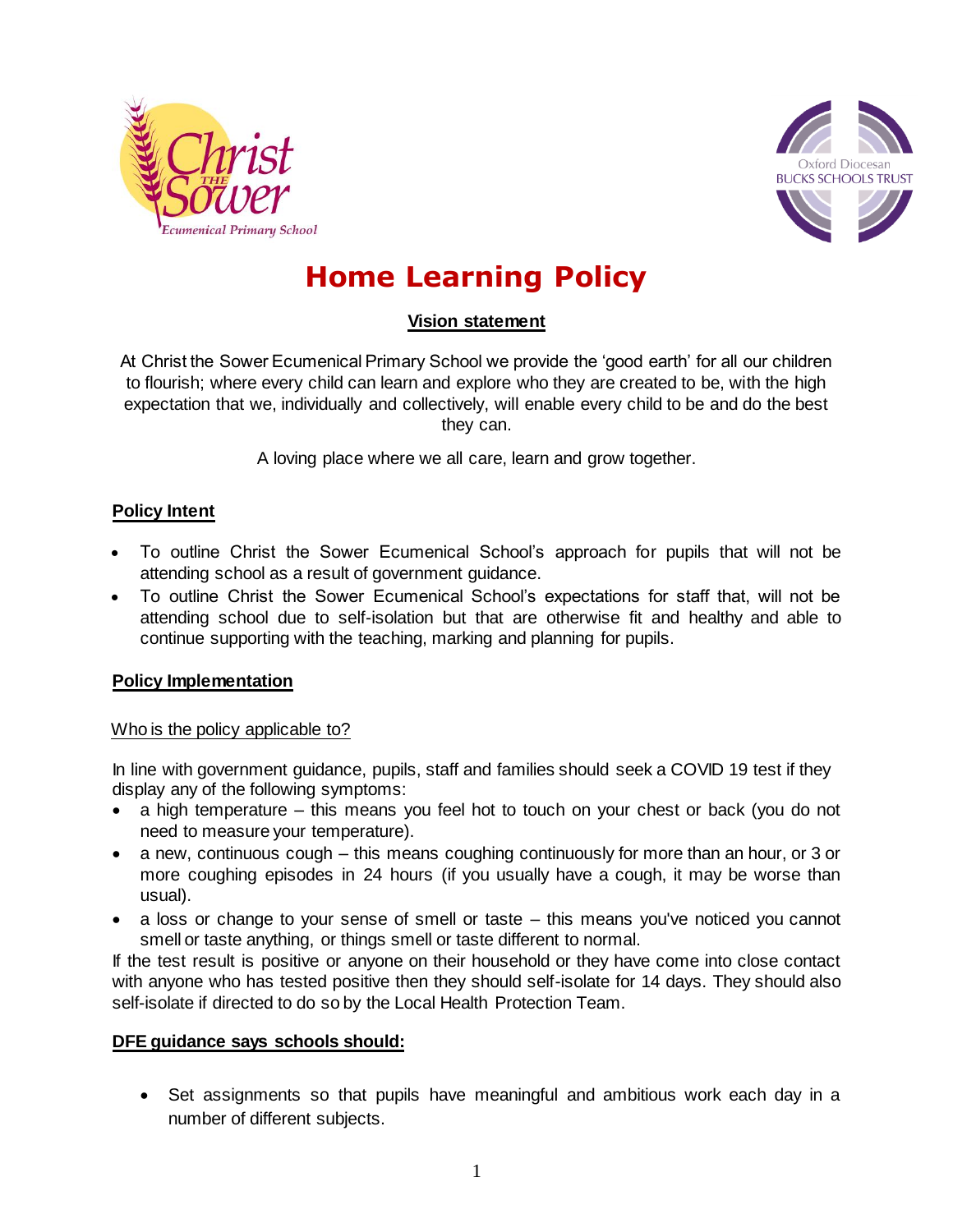



# **Home Learning Policy**

# **Vision statement**

At Christ the Sower Ecumenical Primary School we provide the 'good earth' for all our children to flourish; where every child can learn and explore who they are created to be, with the high expectation that we, individually and collectively, will enable every child to be and do the best they can.

A loving place where we all care, learn and grow together.

# **Policy Intent**

- To outline Christ the Sower Ecumenical School's approach for pupils that will not be attending school as a result of government guidance.
- To outline Christ the Sower Ecumenical School's expectations for staff that, will not be attending school due to self-isolation but that are otherwise fit and healthy and able to continue supporting with the teaching, marking and planning for pupils.

# **Policy Implementation**

# Who is the policy applicable to?

In line with government guidance, pupils, staff and families should seek a COVID 19 test if they display any of the following symptoms:

- a high temperature this means you feel hot to touch on your chest or back (you do not need to measure your temperature).
- a new, continuous cough this means coughing continuously for more than an hour, or 3 or more coughing episodes in 24 hours (if you usually have a cough, it may be worse than usual).
- a loss or change to your sense of smell or taste this means you've noticed you cannot smell or taste anything, or things smell or taste different to normal.

If the test result is positive or anyone on their household or they have come into close contact with anyone who has tested positive then they should self-isolate for 14 days. They should also self-isolate if directed to do so by the Local Health Protection Team.

#### **DFE guidance says schools should:**

 Set assignments so that pupils have meaningful and ambitious work each day in a number of different subjects.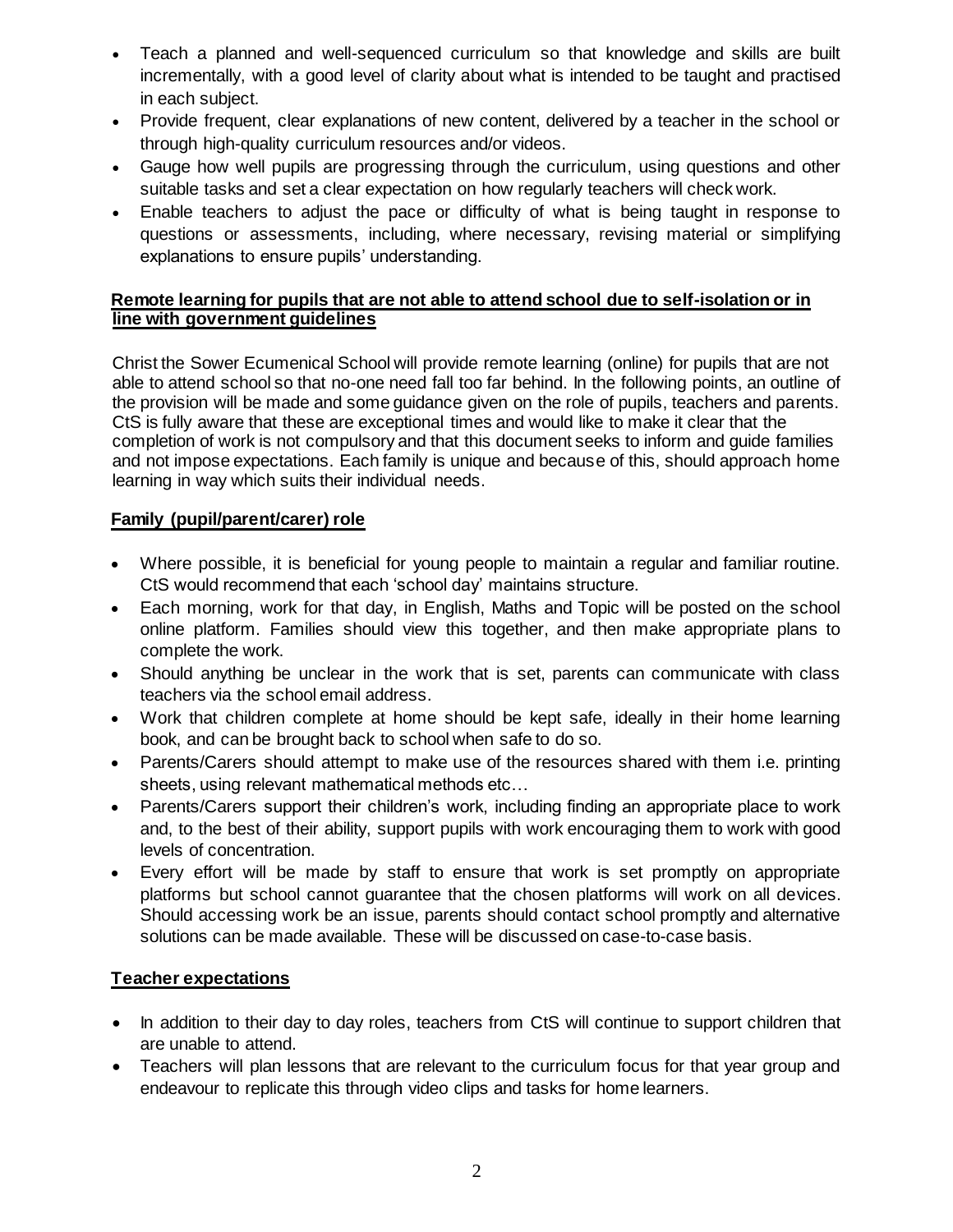- Teach a planned and well-sequenced curriculum so that knowledge and skills are built incrementally, with a good level of clarity about what is intended to be taught and practised in each subject.
- Provide frequent, clear explanations of new content, delivered by a teacher in the school or through high-quality curriculum resources and/or videos.
- Gauge how well pupils are progressing through the curriculum, using questions and other suitable tasks and set a clear expectation on how regularly teachers will check work.
- Enable teachers to adjust the pace or difficulty of what is being taught in response to questions or assessments, including, where necessary, revising material or simplifying explanations to ensure pupils' understanding.

#### **Remote learning for pupils that are not able to attend school due to self-isolation or in line with government guidelines**

Christ the Sower Ecumenical School will provide remote learning (online) for pupils that are not able to attend school so that no-one need fall too far behind. In the following points, an outline of the provision will be made and some guidance given on the role of pupils, teachers and parents. CtS is fully aware that these are exceptional times and would like to make it clear that the completion of work is not compulsory and that this document seeks to inform and guide families and not impose expectations. Each family is unique and because of this, should approach home learning in way which suits their individual needs.

# **Family (pupil/parent/carer) role**

- Where possible, it is beneficial for young people to maintain a regular and familiar routine. CtS would recommend that each 'school day' maintains structure.
- Each morning, work for that day, in English, Maths and Topic will be posted on the school online platform. Families should view this together, and then make appropriate plans to complete the work.
- Should anything be unclear in the work that is set, parents can communicate with class teachers via the school email address.
- Work that children complete at home should be kept safe, ideally in their home learning book, and can be brought back to school when safe to do so.
- Parents/Carers should attempt to make use of the resources shared with them i.e. printing sheets, using relevant mathematical methods etc…
- Parents/Carers support their children's work, including finding an appropriate place to work and, to the best of their ability, support pupils with work encouraging them to work with good levels of concentration.
- Every effort will be made by staff to ensure that work is set promptly on appropriate platforms but school cannot guarantee that the chosen platforms will work on all devices. Should accessing work be an issue, parents should contact school promptly and alternative solutions can be made available. These will be discussed on case-to-case basis.

# **Teacher expectations**

- In addition to their day to day roles, teachers from CtS will continue to support children that are unable to attend.
- Teachers will plan lessons that are relevant to the curriculum focus for that year group and endeavour to replicate this through video clips and tasks for home learners.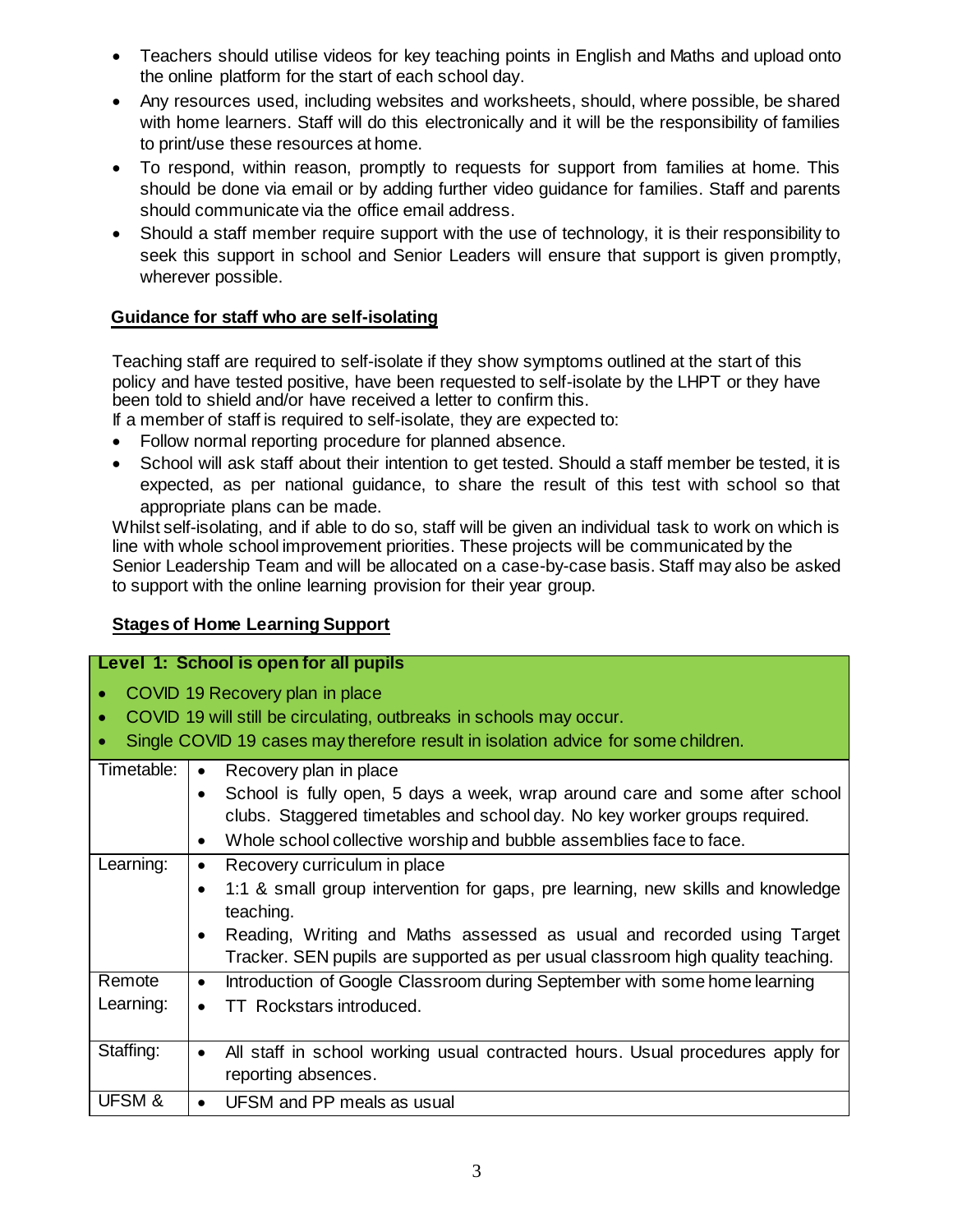- Teachers should utilise videos for key teaching points in English and Maths and upload onto the online platform for the start of each school day.
- Any resources used, including websites and worksheets, should, where possible, be shared with home learners. Staff will do this electronically and it will be the responsibility of families to print/use these resources at home.
- To respond, within reason, promptly to requests for support from families at home. This should be done via email or by adding further video guidance for families. Staff and parents should communicate via the office email address.
- Should a staff member require support with the use of technology, it is their responsibility to seek this support in school and Senior Leaders will ensure that support is given promptly, wherever possible.

# **Guidance for staff who are self-isolating**

Teaching staff are required to self-isolate if they show symptoms outlined at the start of this policy and have tested positive, have been requested to self-isolate by the LHPT or they have been told to shield and/or have received a letter to confirm this.

If a member of staff is required to self-isolate, they are expected to:

- Follow normal reporting procedure for planned absence.
- School will ask staff about their intention to get tested. Should a staff member be tested, it is expected, as per national guidance, to share the result of this test with school so that appropriate plans can be made.

Whilst self-isolating, and if able to do so, staff will be given an individual task to work on which is line with whole school improvement priorities. These projects will be communicated by the Senior Leadership Team and will be allocated on a case-by-case basis. Staff may also be asked to support with the online learning provision for their year group.

# **Stages of Home Learning Support**

| Level 1: School is open for all pupils                                                                                                                                                      |                                                                                                                                                                                                                                                                                                        |  |  |
|---------------------------------------------------------------------------------------------------------------------------------------------------------------------------------------------|--------------------------------------------------------------------------------------------------------------------------------------------------------------------------------------------------------------------------------------------------------------------------------------------------------|--|--|
| COVID 19 Recovery plan in place<br>COVID 19 will still be circulating, outbreaks in schools may occur.<br>Single COVID 19 cases may therefore result in isolation advice for some children. |                                                                                                                                                                                                                                                                                                        |  |  |
| Timetable:                                                                                                                                                                                  | Recovery plan in place<br>$\bullet$<br>School is fully open, 5 days a week, wrap around care and some after school<br>clubs. Staggered timetables and school day. No key worker groups required.<br>Whole school collective worship and bubble assemblies face to face.                                |  |  |
| Learning:                                                                                                                                                                                   | Recovery curriculum in place<br>$\bullet$<br>1:1 & small group intervention for gaps, pre learning, new skills and knowledge<br>teaching.<br>Reading, Writing and Maths assessed as usual and recorded using Target<br>Tracker. SEN pupils are supported as per usual classroom high quality teaching. |  |  |
| Remote<br>Learning:                                                                                                                                                                         | Introduction of Google Classroom during September with some home learning<br>$\bullet$<br><b>TT</b> Rockstars introduced.                                                                                                                                                                              |  |  |
| Staffing:                                                                                                                                                                                   | All staff in school working usual contracted hours. Usual procedures apply for<br>reporting absences.                                                                                                                                                                                                  |  |  |
| UFSM &                                                                                                                                                                                      | UFSM and PP meals as usual                                                                                                                                                                                                                                                                             |  |  |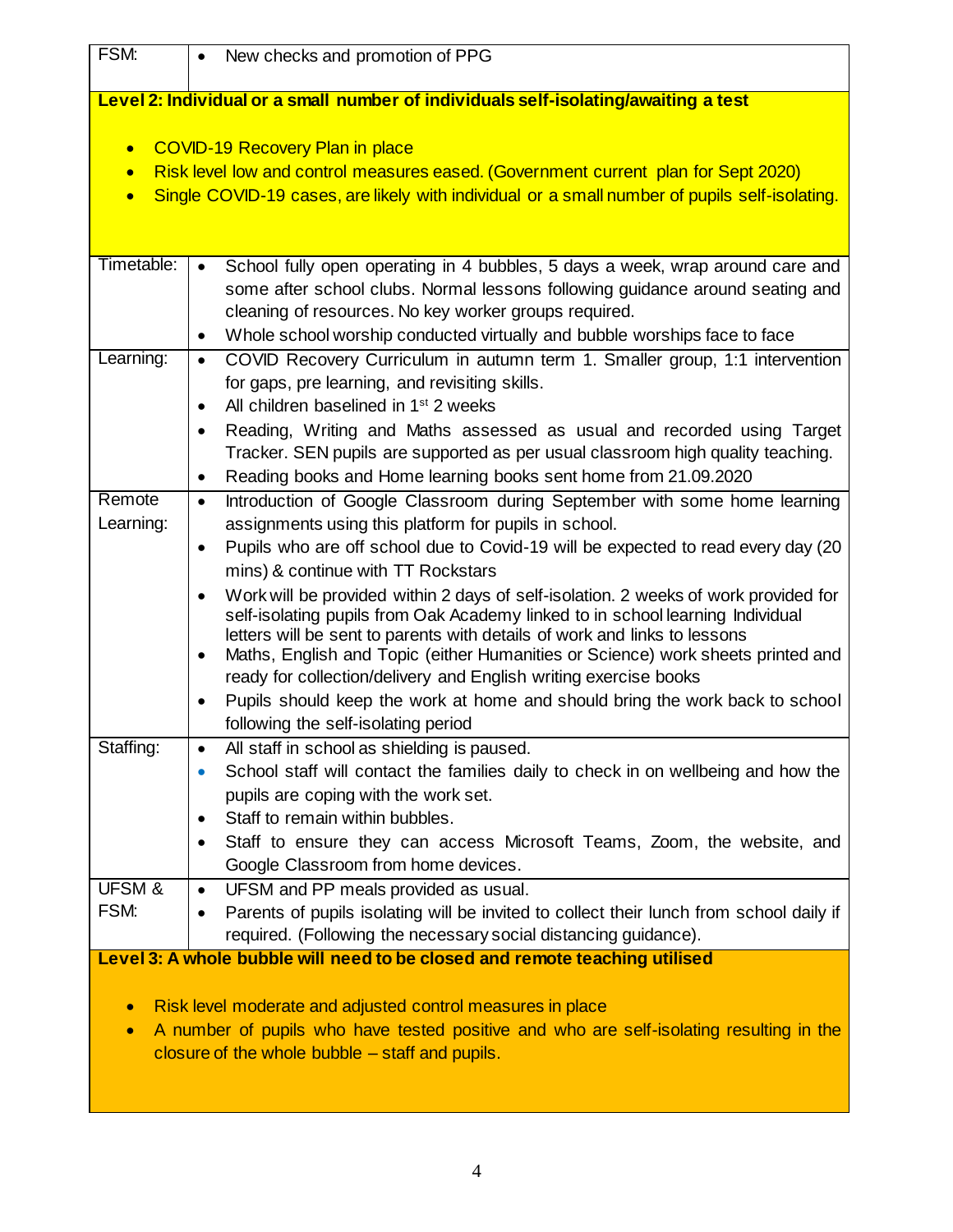| FSM:                                                                                                                                                    | New checks and promotion of PPG                                                                                                                                        |  |  |
|---------------------------------------------------------------------------------------------------------------------------------------------------------|------------------------------------------------------------------------------------------------------------------------------------------------------------------------|--|--|
| Level 2: Individual or a small number of individuals self-isolating/awaiting a test                                                                     |                                                                                                                                                                        |  |  |
| <b>COVID-19 Recovery Plan in place</b><br>$\bullet$                                                                                                     |                                                                                                                                                                        |  |  |
| $\bullet$                                                                                                                                               | Risk level low and control measures eased. (Government current plan for Sept 2020)                                                                                     |  |  |
| $\bullet$                                                                                                                                               | Single COVID-19 cases, are likely with individual or a small number of pupils self-isolating.                                                                          |  |  |
|                                                                                                                                                         |                                                                                                                                                                        |  |  |
| Timetable:                                                                                                                                              | School fully open operating in 4 bubbles, 5 days a week, wrap around care and<br>$\bullet$                                                                             |  |  |
|                                                                                                                                                         | some after school clubs. Normal lessons following guidance around seating and                                                                                          |  |  |
|                                                                                                                                                         | cleaning of resources. No key worker groups required.                                                                                                                  |  |  |
|                                                                                                                                                         | Whole school worship conducted virtually and bubble worships face to face<br>٠                                                                                         |  |  |
| Learning:                                                                                                                                               | COVID Recovery Curriculum in autumn term 1. Smaller group, 1:1 intervention<br>$\bullet$                                                                               |  |  |
|                                                                                                                                                         | for gaps, pre learning, and revisiting skills.                                                                                                                         |  |  |
|                                                                                                                                                         | All children baselined in 1 <sup>st</sup> 2 weeks<br>$\bullet$                                                                                                         |  |  |
|                                                                                                                                                         | Reading, Writing and Maths assessed as usual and recorded using Target<br>$\bullet$<br>Tracker. SEN pupils are supported as per usual classroom high quality teaching. |  |  |
|                                                                                                                                                         | Reading books and Home learning books sent home from 21.09.2020<br>$\bullet$                                                                                           |  |  |
| Remote                                                                                                                                                  | Introduction of Google Classroom during September with some home learning<br>$\bullet$                                                                                 |  |  |
| Learning:                                                                                                                                               | assignments using this platform for pupils in school.                                                                                                                  |  |  |
|                                                                                                                                                         | Pupils who are off school due to Covid-19 will be expected to read every day (20<br>$\bullet$                                                                          |  |  |
|                                                                                                                                                         | mins) & continue with TT Rockstars                                                                                                                                     |  |  |
|                                                                                                                                                         | Work will be provided within 2 days of self-isolation. 2 weeks of work provided for<br>$\bullet$                                                                       |  |  |
|                                                                                                                                                         | self-isolating pupils from Oak Academy linked to in school learning Individual<br>letters will be sent to parents with details of work and links to lessons            |  |  |
|                                                                                                                                                         | Maths, English and Topic (either Humanities or Science) work sheets printed and<br>٠                                                                                   |  |  |
|                                                                                                                                                         | ready for collection/delivery and English writing exercise books                                                                                                       |  |  |
|                                                                                                                                                         | Pupils should keep the work at home and should bring the work back to school<br>$\bullet$                                                                              |  |  |
|                                                                                                                                                         | following the self-isolating period                                                                                                                                    |  |  |
| Staffing:                                                                                                                                               | All staff in school as shielding is paused.<br>$\bullet$                                                                                                               |  |  |
|                                                                                                                                                         | School staff will contact the families daily to check in on wellbeing and how the                                                                                      |  |  |
|                                                                                                                                                         | pupils are coping with the work set.<br>Staff to remain within bubbles.                                                                                                |  |  |
|                                                                                                                                                         | $\bullet$<br>Staff to ensure they can access Microsoft Teams, Zoom, the website, and<br>٠                                                                              |  |  |
|                                                                                                                                                         | Google Classroom from home devices.                                                                                                                                    |  |  |
| UFSM &                                                                                                                                                  | UFSM and PP meals provided as usual.<br>$\bullet$                                                                                                                      |  |  |
| FSM:                                                                                                                                                    | Parents of pupils isolating will be invited to collect their lunch from school daily if<br>$\bullet$                                                                   |  |  |
|                                                                                                                                                         | required. (Following the necessary social distancing guidance).                                                                                                        |  |  |
| Level 3: A whole bubble will need to be closed and remote teaching utilised                                                                             |                                                                                                                                                                        |  |  |
|                                                                                                                                                         |                                                                                                                                                                        |  |  |
| Risk level moderate and adjusted control measures in place<br>$\bullet$                                                                                 |                                                                                                                                                                        |  |  |
| A number of pupils who have tested positive and who are self-isolating resulting in the<br>$\bullet$<br>closure of the whole bubble – staff and pupils. |                                                                                                                                                                        |  |  |
|                                                                                                                                                         |                                                                                                                                                                        |  |  |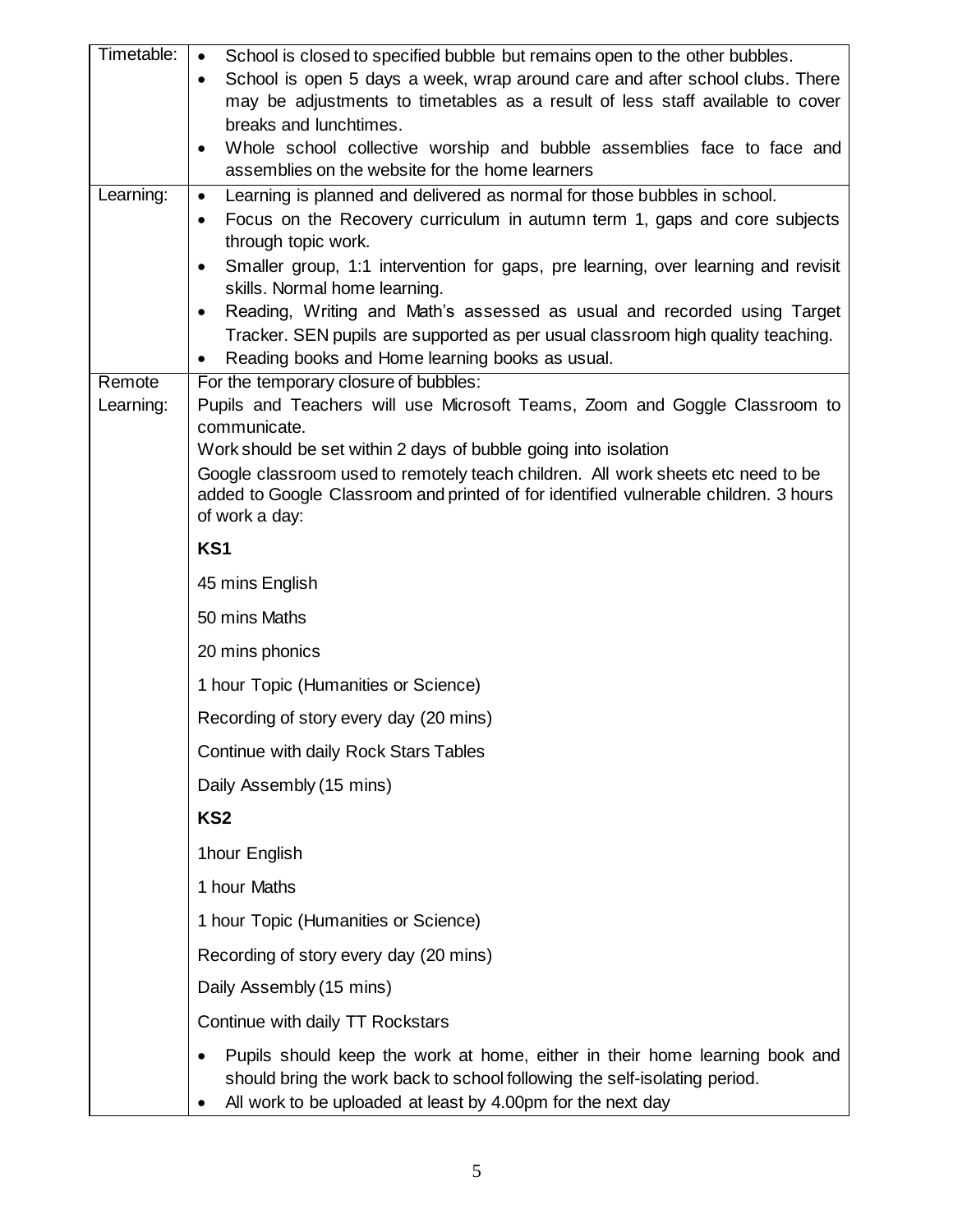| Timetable: | School is closed to specified bubble but remains open to the other bubbles.<br>$\bullet$                                                                                                                                             |
|------------|--------------------------------------------------------------------------------------------------------------------------------------------------------------------------------------------------------------------------------------|
|            | School is open 5 days a week, wrap around care and after school clubs. There<br>$\bullet$                                                                                                                                            |
|            | may be adjustments to timetables as a result of less staff available to cover                                                                                                                                                        |
|            | breaks and lunchtimes.                                                                                                                                                                                                               |
|            | Whole school collective worship and bubble assemblies face to face and<br>assemblies on the website for the home learners                                                                                                            |
| Learning:  | Learning is planned and delivered as normal for those bubbles in school.<br>$\bullet$                                                                                                                                                |
|            | Focus on the Recovery curriculum in autumn term 1, gaps and core subjects                                                                                                                                                            |
|            | through topic work.                                                                                                                                                                                                                  |
|            | Smaller group, 1:1 intervention for gaps, pre learning, over learning and revisit                                                                                                                                                    |
|            | skills. Normal home learning.<br>Reading, Writing and Math's assessed as usual and recorded using Target<br>$\bullet$                                                                                                                |
|            | Tracker. SEN pupils are supported as per usual classroom high quality teaching.                                                                                                                                                      |
|            | Reading books and Home learning books as usual.                                                                                                                                                                                      |
| Remote     | For the temporary closure of bubbles:                                                                                                                                                                                                |
| Learning:  | Pupils and Teachers will use Microsoft Teams, Zoom and Goggle Classroom to                                                                                                                                                           |
|            | communicate.<br>Work should be set within 2 days of bubble going into isolation                                                                                                                                                      |
|            | Google classroom used to remotely teach children. All work sheets etc need to be                                                                                                                                                     |
|            | added to Google Classroom and printed of for identified vulnerable children. 3 hours                                                                                                                                                 |
|            | of work a day:                                                                                                                                                                                                                       |
|            | KS1                                                                                                                                                                                                                                  |
|            | 45 mins English                                                                                                                                                                                                                      |
|            | 50 mins Maths                                                                                                                                                                                                                        |
|            | 20 mins phonics                                                                                                                                                                                                                      |
|            | 1 hour Topic (Humanities or Science)                                                                                                                                                                                                 |
|            | Recording of story every day (20 mins)                                                                                                                                                                                               |
|            | Continue with daily Rock Stars Tables                                                                                                                                                                                                |
|            | Daily Assembly (15 mins)                                                                                                                                                                                                             |
|            | KS <sub>2</sub>                                                                                                                                                                                                                      |
|            | 1hour English                                                                                                                                                                                                                        |
|            | 1 hour Maths                                                                                                                                                                                                                         |
|            | 1 hour Topic (Humanities or Science)                                                                                                                                                                                                 |
|            | Recording of story every day (20 mins)                                                                                                                                                                                               |
|            | Daily Assembly (15 mins)                                                                                                                                                                                                             |
|            | Continue with daily TT Rockstars                                                                                                                                                                                                     |
|            | Pupils should keep the work at home, either in their home learning book and<br>$\bullet$<br>should bring the work back to school following the self-isolating period.<br>All work to be uploaded at least by 4.00pm for the next day |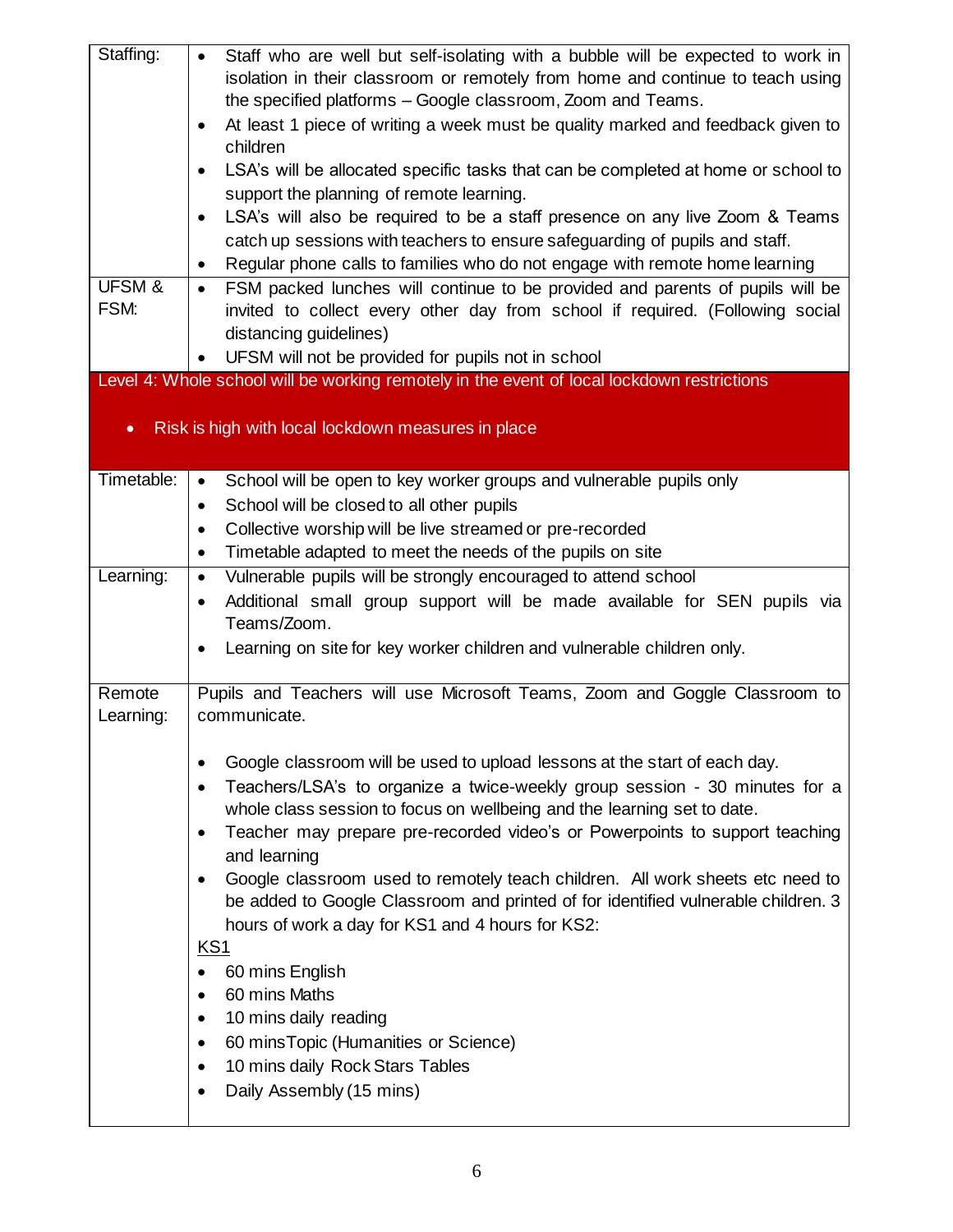| Staffing:         | Staff who are well but self-isolating with a bubble will be expected to work in<br>$\bullet$                                                                       |
|-------------------|--------------------------------------------------------------------------------------------------------------------------------------------------------------------|
|                   | isolation in their classroom or remotely from home and continue to teach using                                                                                     |
|                   | the specified platforms - Google classroom, Zoom and Teams.                                                                                                        |
|                   | At least 1 piece of writing a week must be quality marked and feedback given to<br>$\bullet$<br>children                                                           |
|                   | LSA's will be allocated specific tasks that can be completed at home or school to<br>$\bullet$                                                                     |
|                   | support the planning of remote learning.                                                                                                                           |
|                   | LSA's will also be required to be a staff presence on any live Zoom & Teams<br>$\bullet$                                                                           |
|                   | catch up sessions with teachers to ensure safeguarding of pupils and staff.                                                                                        |
|                   | Regular phone calls to families who do not engage with remote home learning<br>$\bullet$                                                                           |
| <b>UFSM &amp;</b> | FSM packed lunches will continue to be provided and parents of pupils will be<br>$\bullet$                                                                         |
| FSM:              | invited to collect every other day from school if required. (Following social                                                                                      |
|                   | distancing guidelines)                                                                                                                                             |
|                   | UFSM will not be provided for pupils not in school<br>$\bullet$                                                                                                    |
|                   | Level 4: Whole school will be working remotely in the event of local lockdown restrictions                                                                         |
|                   |                                                                                                                                                                    |
| $\bullet$         | Risk is high with local lockdown measures in place                                                                                                                 |
|                   |                                                                                                                                                                    |
| Timetable:        | School will be open to key worker groups and vulnerable pupils only<br>$\bullet$                                                                                   |
|                   | School will be closed to all other pupils<br>$\bullet$                                                                                                             |
|                   | Collective worship will be live streamed or pre-recorded<br>$\bullet$                                                                                              |
|                   | Timetable adapted to meet the needs of the pupils on site<br>$\bullet$                                                                                             |
| Learning:         | Vulnerable pupils will be strongly encouraged to attend school<br>$\bullet$                                                                                        |
|                   | Additional small group support will be made available for SEN pupils via<br>$\bullet$                                                                              |
|                   | Teams/Zoom.                                                                                                                                                        |
|                   | Learning on site for key worker children and vulnerable children only.<br>$\bullet$                                                                                |
|                   |                                                                                                                                                                    |
| Remote            | Pupils and Teachers will use Microsoft Teams, Zoom and Goggle Classroom to                                                                                         |
| Learning:         | communicate.                                                                                                                                                       |
|                   |                                                                                                                                                                    |
|                   | Google classroom will be used to upload lessons at the start of each day.<br>٠                                                                                     |
|                   | Teachers/LSA's to organize a twice-weekly group session - 30 minutes for a<br>$\bullet$                                                                            |
|                   | whole class session to focus on wellbeing and the learning set to date.                                                                                            |
|                   | Teacher may prepare pre-recorded video's or Powerpoints to support teaching<br>٠                                                                                   |
|                   | and learning                                                                                                                                                       |
|                   | Google classroom used to remotely teach children. All work sheets etc need to<br>be added to Google Classroom and printed of for identified vulnerable children. 3 |
|                   | hours of work a day for KS1 and 4 hours for KS2:                                                                                                                   |
|                   | KS1                                                                                                                                                                |
|                   | 60 mins English                                                                                                                                                    |
|                   | 60 mins Maths<br>$\bullet$                                                                                                                                         |
|                   | 10 mins daily reading<br>$\bullet$                                                                                                                                 |
|                   | 60 mins Topic (Humanities or Science)<br>$\bullet$                                                                                                                 |
|                   | 10 mins daily Rock Stars Tables<br>$\bullet$                                                                                                                       |
|                   | Daily Assembly (15 mins)                                                                                                                                           |
|                   |                                                                                                                                                                    |
|                   |                                                                                                                                                                    |